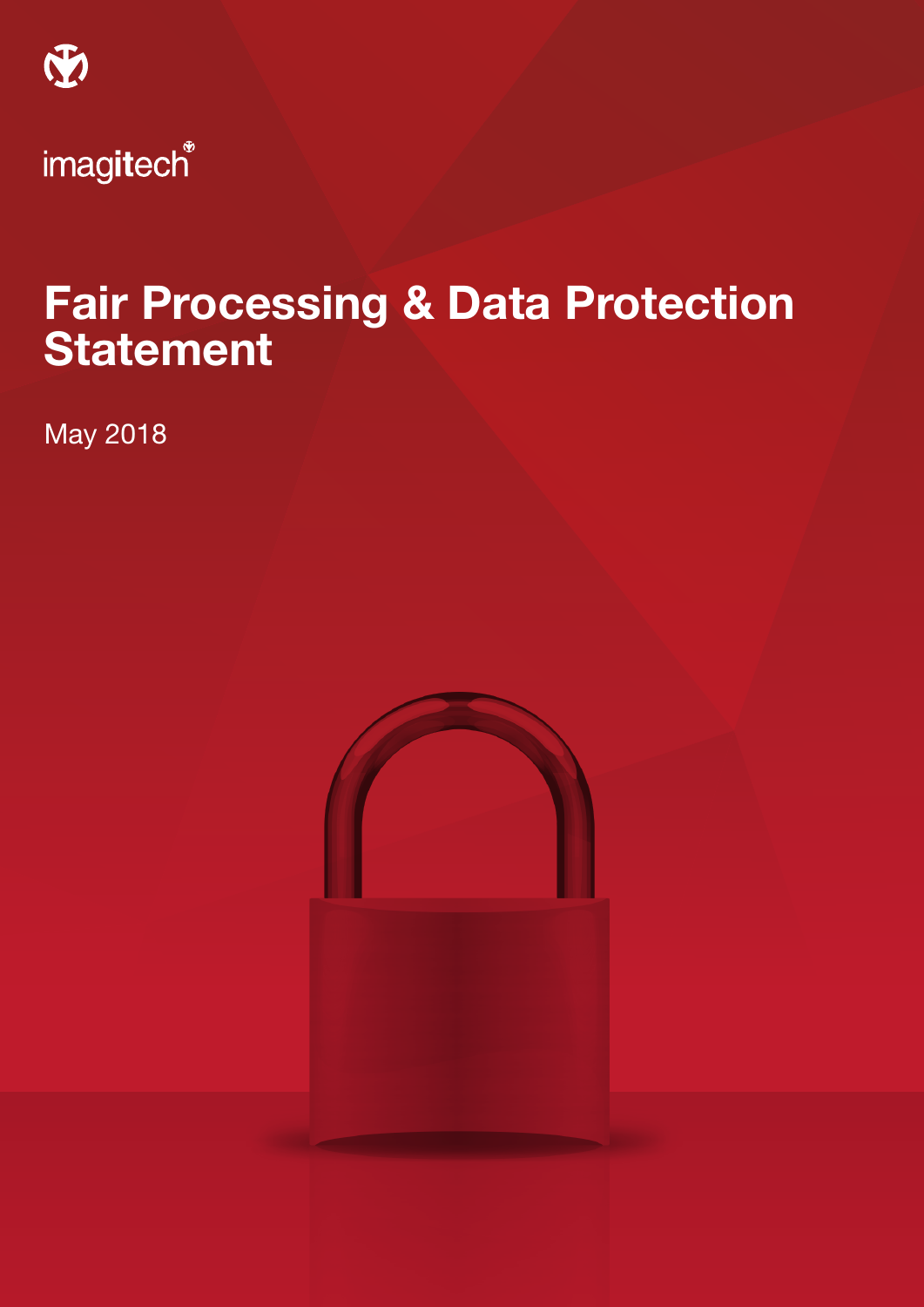

# Fair Processing & Data Protection **Statement**

May 2018

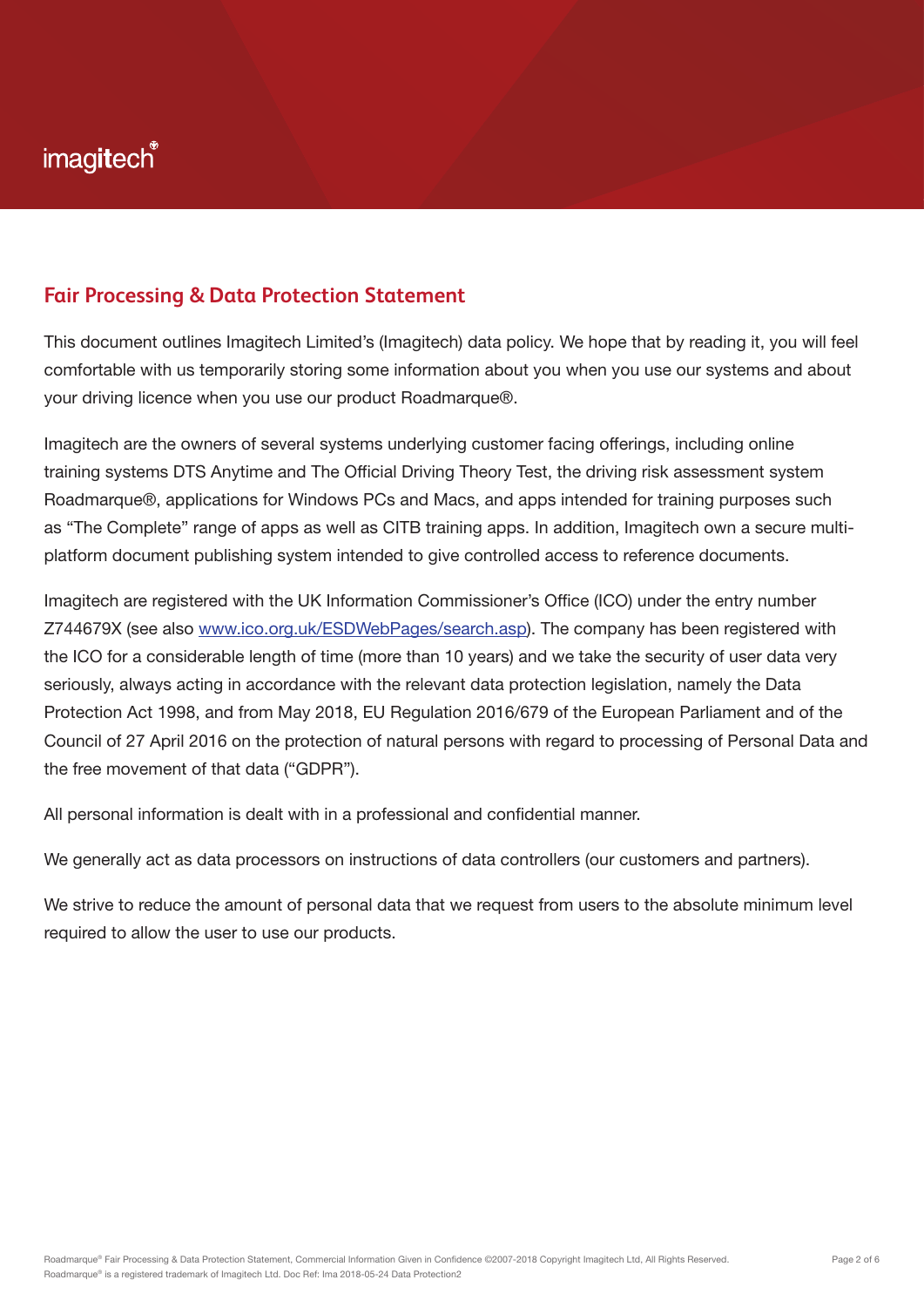### **Fair Processing & Data Protection Statement**

This document outlines Imagitech Limited's (Imagitech) data policy. We hope that by reading it, you will feel comfortable with us temporarily storing some information about you when you use our systems and about your driving licence when you use our product Roadmarque®.

Imagitech are the owners of several systems underlying customer facing offerings, including online training systems DTS Anytime and The Official Driving Theory Test, the driving risk assessment system Roadmarque®, applications for Windows PCs and Macs, and apps intended for training purposes such as "The Complete" range of apps as well as CITB training apps. In addition, Imagitech own a secure multiplatform document publishing system intended to give controlled access to reference documents.

Imagitech are registered with the UK Information Commissioner's Office (ICO) under the entry number Z744679X (see also www.ico.org.uk/ESDWebPages/search.asp). The company has been registered with the ICO for a considerable length of time (more than 10 years) and we take the security of user data very seriously, always acting in accordance with the relevant data protection legislation, namely the Data Protection Act 1998, and from May 2018, EU Regulation 2016/679 of the European Parliament and of the Council of 27 April 2016 on the protection of natural persons with regard to processing of Personal Data and the free movement of that data ("GDPR").

All personal information is dealt with in a professional and confidential manner.

We generally act as data processors on instructions of data controllers (our customers and partners).

We strive to reduce the amount of personal data that we request from users to the absolute minimum level required to allow the user to use our products.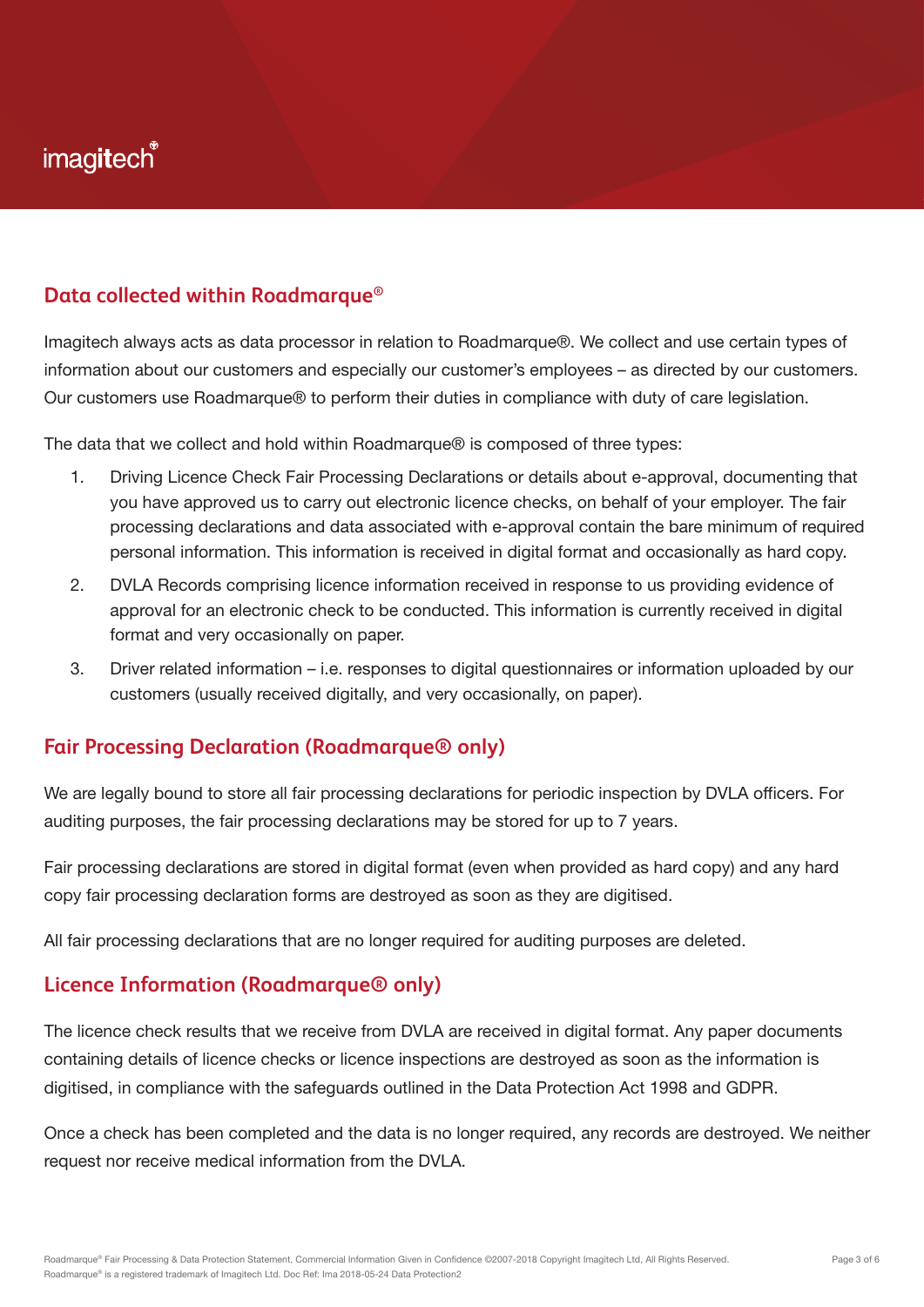### **Data collected within Roadmarque®**

Imagitech always acts as data processor in relation to Roadmarque®. We collect and use certain types of information about our customers and especially our customer's employees – as directed by our customers. Our customers use Roadmarque® to perform their duties in compliance with duty of care legislation.

The data that we collect and hold within Roadmarque® is composed of three types:

- 1. Driving Licence Check Fair Processing Declarations or details about e-approval, documenting that you have approved us to carry out electronic licence checks, on behalf of your employer. The fair processing declarations and data associated with e-approval contain the bare minimum of required personal information. This information is received in digital format and occasionally as hard copy.
- 2. DVLA Records comprising licence information received in response to us providing evidence of approval for an electronic check to be conducted. This information is currently received in digital format and very occasionally on paper.
- 3. Driver related information i.e. responses to digital questionnaires or information uploaded by our customers (usually received digitally, and very occasionally, on paper).

### **Fair Processing Declaration (Roadmarque® only)**

We are legally bound to store all fair processing declarations for periodic inspection by DVLA officers. For auditing purposes, the fair processing declarations may be stored for up to 7 years.

Fair processing declarations are stored in digital format (even when provided as hard copy) and any hard copy fair processing declaration forms are destroyed as soon as they are digitised.

All fair processing declarations that are no longer required for auditing purposes are deleted.

#### **Licence Information (Roadmarque® only)**

The licence check results that we receive from DVLA are received in digital format. Any paper documents containing details of licence checks or licence inspections are destroyed as soon as the information is digitised, in compliance with the safeguards outlined in the Data Protection Act 1998 and GDPR.

Once a check has been completed and the data is no longer required, any records are destroyed. We neither request nor receive medical information from the DVLA.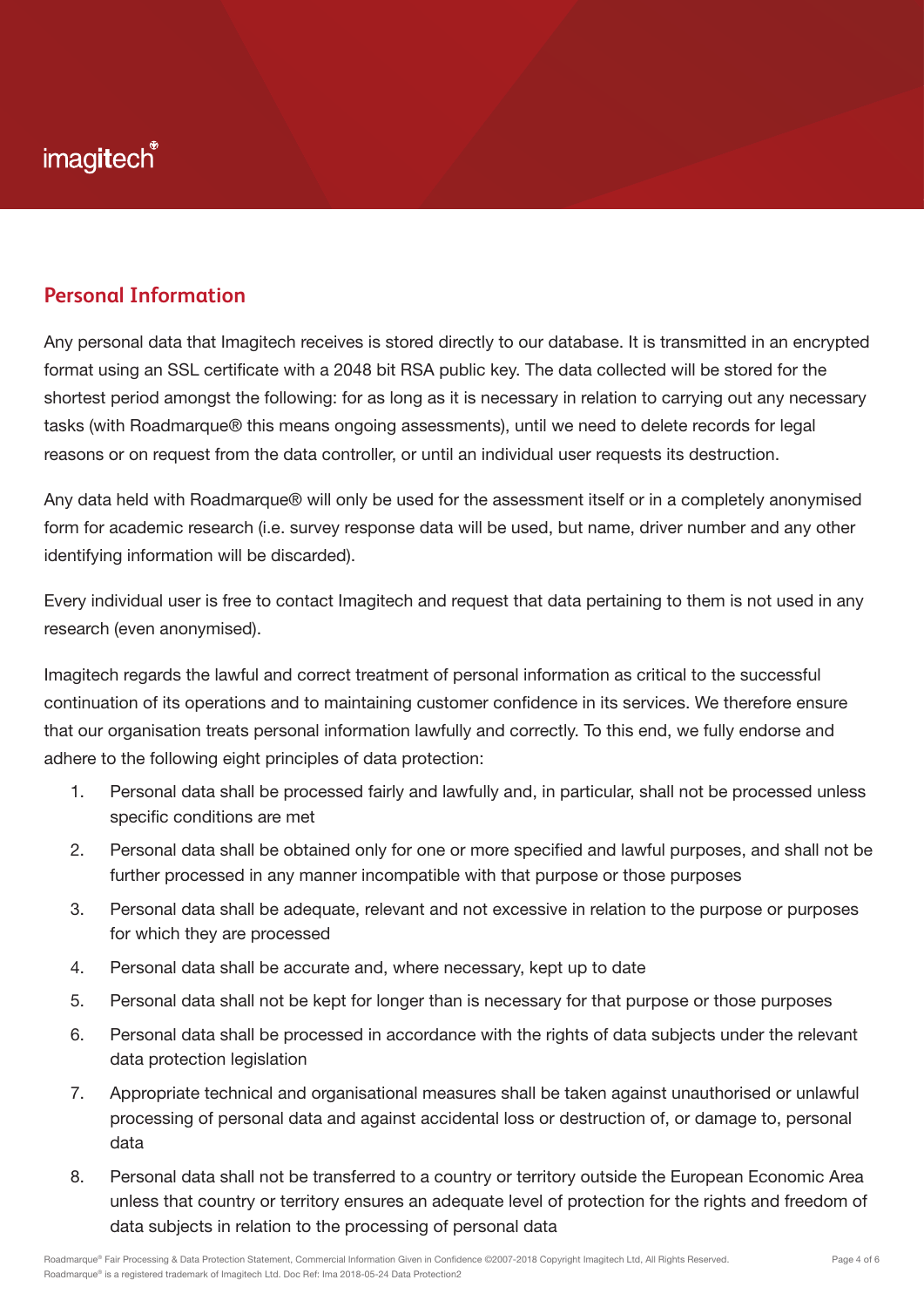### **Personal Information**

Any personal data that Imagitech receives is stored directly to our database. It is transmitted in an encrypted format using an SSL certificate with a 2048 bit RSA public key. The data collected will be stored for the shortest period amongst the following: for as long as it is necessary in relation to carrying out any necessary tasks (with Roadmarque® this means ongoing assessments), until we need to delete records for legal reasons or on request from the data controller, or until an individual user requests its destruction.

Any data held with Roadmarque® will only be used for the assessment itself or in a completely anonymised form for academic research (i.e. survey response data will be used, but name, driver number and any other identifying information will be discarded).

Every individual user is free to contact Imagitech and request that data pertaining to them is not used in any research (even anonymised).

Imagitech regards the lawful and correct treatment of personal information as critical to the successful continuation of its operations and to maintaining customer confidence in its services. We therefore ensure that our organisation treats personal information lawfully and correctly. To this end, we fully endorse and adhere to the following eight principles of data protection:

- 1. Personal data shall be processed fairly and lawfully and, in particular, shall not be processed unless specific conditions are met
- 2. Personal data shall be obtained only for one or more specified and lawful purposes, and shall not be further processed in any manner incompatible with that purpose or those purposes
- 3. Personal data shall be adequate, relevant and not excessive in relation to the purpose or purposes for which they are processed
- 4. Personal data shall be accurate and, where necessary, kept up to date
- 5. Personal data shall not be kept for longer than is necessary for that purpose or those purposes
- 6. Personal data shall be processed in accordance with the rights of data subjects under the relevant data protection legislation
- 7. Appropriate technical and organisational measures shall be taken against unauthorised or unlawful processing of personal data and against accidental loss or destruction of, or damage to, personal data
- 8. Personal data shall not be transferred to a country or territory outside the European Economic Area unless that country or territory ensures an adequate level of protection for the rights and freedom of data subjects in relation to the processing of personal data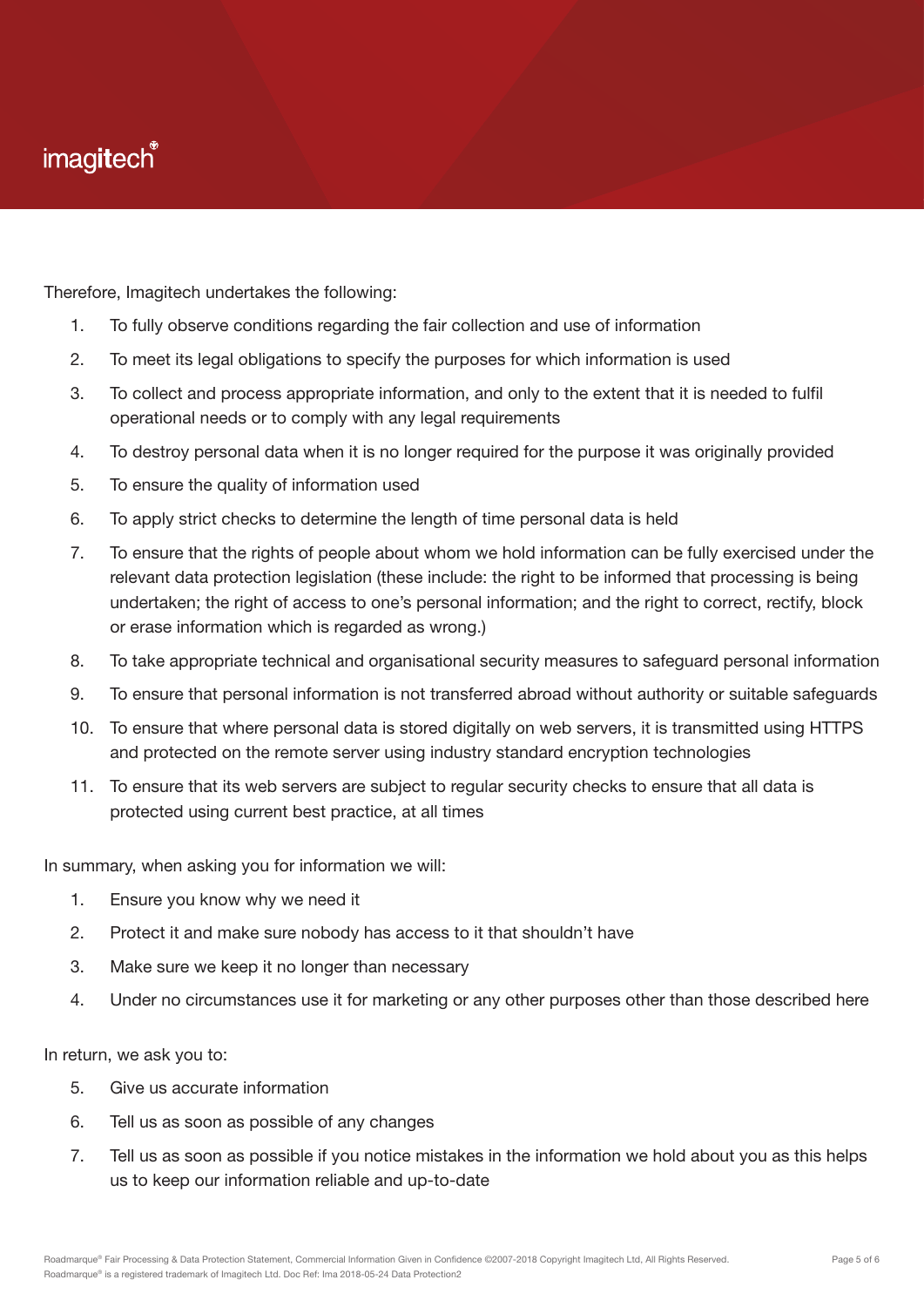Therefore, Imagitech undertakes the following:

- 1. To fully observe conditions regarding the fair collection and use of information
- 2. To meet its legal obligations to specify the purposes for which information is used
- 3. To collect and process appropriate information, and only to the extent that it is needed to fulfil operational needs or to comply with any legal requirements
- 4. To destroy personal data when it is no longer required for the purpose it was originally provided
- 5. To ensure the quality of information used
- 6. To apply strict checks to determine the length of time personal data is held
- 7. To ensure that the rights of people about whom we hold information can be fully exercised under the relevant data protection legislation (these include: the right to be informed that processing is being undertaken; the right of access to one's personal information; and the right to correct, rectify, block or erase information which is regarded as wrong.)
- 8. To take appropriate technical and organisational security measures to safeguard personal information
- 9. To ensure that personal information is not transferred abroad without authority or suitable safeguards
- 10. To ensure that where personal data is stored digitally on web servers, it is transmitted using HTTPS and protected on the remote server using industry standard encryption technologies
- 11. To ensure that its web servers are subject to regular security checks to ensure that all data is protected using current best practice, at all times

In summary, when asking you for information we will:

- 1. Ensure you know why we need it
- 2. Protect it and make sure nobody has access to it that shouldn't have
- 3. Make sure we keep it no longer than necessary
- 4. Under no circumstances use it for marketing or any other purposes other than those described here

In return, we ask you to:

- 5. Give us accurate information
- 6. Tell us as soon as possible of any changes
- 7. Tell us as soon as possible if you notice mistakes in the information we hold about you as this helps us to keep our information reliable and up-to-date